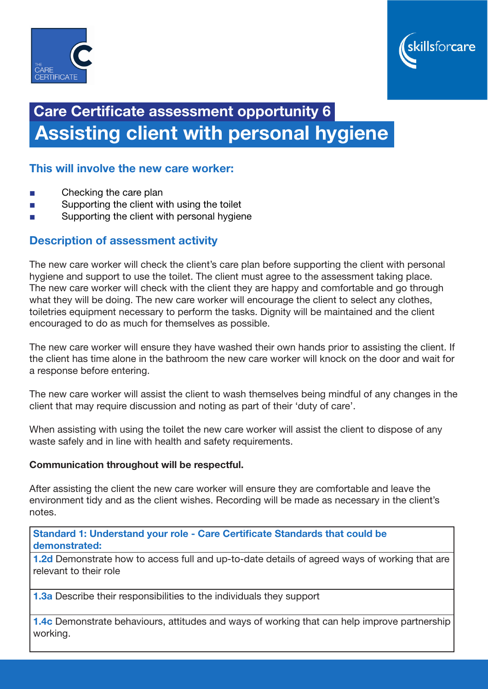



# Care Certificate assessment opportunity 6 Assisting client with personal hygiene

### This will involve the new care worker:

- Checking the care plan
- Supporting the client with using the toilet
- Supporting the client with personal hygiene

## Description of assessment activity

The new care worker will check the client's care plan before supporting the client with personal hygiene and support to use the toilet. The client must agree to the assessment taking place. The new care worker will check with the client they are happy and comfortable and go through what they will be doing. The new care worker will encourage the client to select any clothes, toiletries equipment necessary to perform the tasks. Dignity will be maintained and the client encouraged to do as much for themselves as possible.

The new care worker will ensure they have washed their own hands prior to assisting the client. If the client has time alone in the bathroom the new care worker will knock on the door and wait for a response before entering.

The new care worker will assist the client to wash themselves being mindful of any changes in the client that may require discussion and noting as part of their 'duty of care'.

When assisting with using the toilet the new care worker will assist the client to dispose of any waste safely and in line with health and safety requirements.

#### Communication throughout will be respectful.

After assisting the client the new care worker will ensure they are comfortable and leave the environment tidy and as the client wishes. Recording will be made as necessary in the client's notes.

Standard 1: Understand your role - Care Certificate Standards that could be demonstrated:

1.2d Demonstrate how to access full and up-to-date details of agreed ways of working that are relevant to their role

**1.3a** Describe their responsibilities to the individuals they support

**1.4c** Demonstrate behaviours, attitudes and ways of working that can help improve partnership working.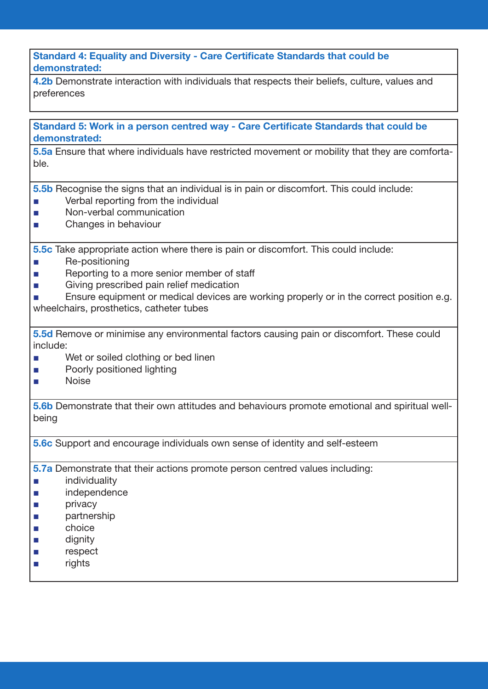#### Standard 4: Equality and Diversity - Care Certificate Standards that could be demonstrated:

4.2b Demonstrate interaction with individuals that respects their beliefs, culture, values and preferences

#### Standard 5: Work in a person centred way - Care Certificate Standards that could be demonstrated:

5.5a Ensure that where individuals have restricted movement or mobility that they are comfortable.

5.5b Recognise the signs that an individual is in pain or discomfort. This could include:

- Verbal reporting from the individual
- Non-verbal communication
- Changes in behaviour

5.5c Take appropriate action where there is pain or discomfort. This could include:

- Re-positioning
- Reporting to a more senior member of staff
- Giving prescribed pain relief medication
- Ensure equipment or medical devices are working properly or in the correct position e.g. wheelchairs, prosthetics, catheter tubes

5.5d Remove or minimise any environmental factors causing pain or discomfort. These could include:

- Wet or soiled clothing or bed linen
- Poorly positioned lighting
- Noise

5.6b Demonstrate that their own attitudes and behaviours promote emotional and spiritual wellbeing

5.6c Support and encourage individuals own sense of identity and self-esteem

5.7a Demonstrate that their actions promote person centred values including:

- individuality
- independence
- privacy
- partnership
- choice
- dignity
- respect
- rights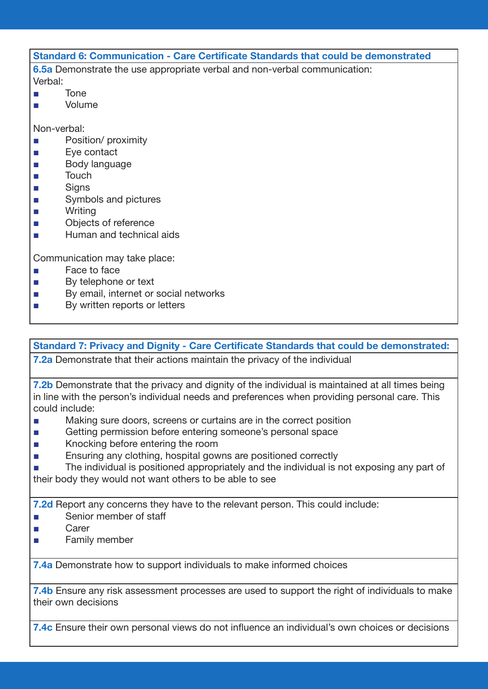# Standard 6: Communication - Care Certificate Standards that could be demonstrated **6.5a** Demonstrate the use appropriate verbal and non-verbal communication: Verbal: ■ Tone ■ Volume Non-verbal: ■ Position/ proximity ■ Eve contact ■ Body language ■ Touch ■ Signs Symbols and pictures ■ Writing ■ Objects of reference ■ Human and technical aids Communication may take place: ■ Face to face

- By telephone or text
- By email, internet or social networks
- By written reports or letters

Standard 7: Privacy and Dignity - Care Certificate Standards that could be demonstrated:

**7.2a** Demonstrate that their actions maintain the privacy of the individual

**7.2b** Demonstrate that the privacy and dignity of the individual is maintained at all times being in line with the person's individual needs and preferences when providing personal care. This could include:

- Making sure doors, screens or curtains are in the correct position
- Getting permission before entering someone's personal space
- Knocking before entering the room
- Ensuring any clothing, hospital gowns are positioned correctly
- The individual is positioned appropriately and the individual is not exposing any part of their body they would not want others to be able to see

7.2d Report any concerns they have to the relevant person. This could include:

- Senior member of staff
- Carer
- Family member

**7.4a** Demonstrate how to support individuals to make informed choices

**7.4b** Ensure any risk assessment processes are used to support the right of individuals to make their own decisions

**7.4c** Ensure their own personal views do not influence an individual's own choices or decisions